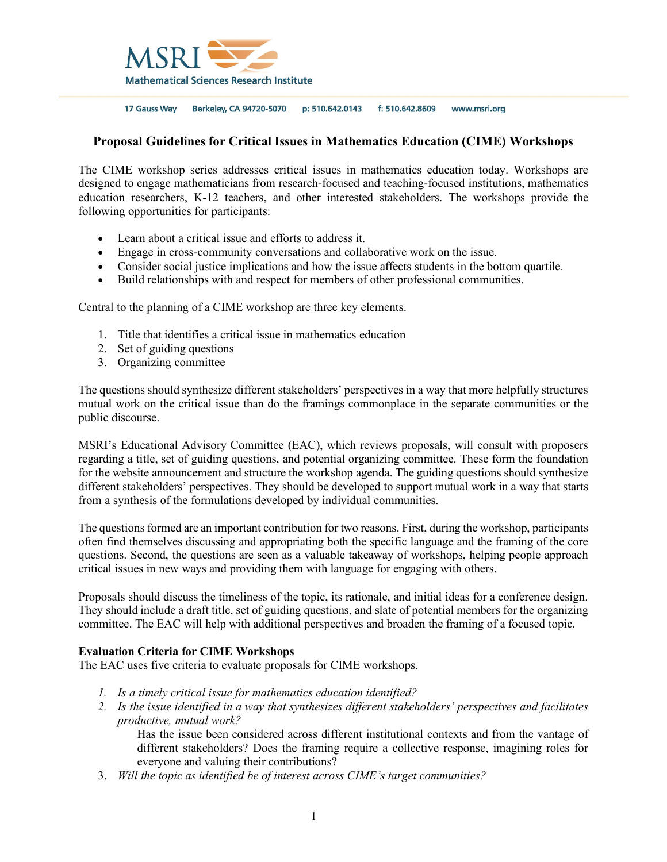

17 Gauss Way Berkeley, CA 94720-5070 p: 510.642.0143 f: 510.642.8609 www.msri.org

## **Proposal Guidelines for Critical Issues in Mathematics Education (CIME) Workshops**

The CIME workshop series addresses critical issues in mathematics education today. Workshops are designed to engage mathematicians from research-focused and teaching-focused institutions, mathematics education researchers, K-12 teachers, and other interested stakeholders. The workshops provide the following opportunities for participants:

- Learn about a critical issue and efforts to address it.
- Engage in cross-community conversations and collaborative work on the issue.
- Consider social justice implications and how the issue affects students in the bottom quartile.
- Build relationships with and respect for members of other professional communities.

Central to the planning of a CIME workshop are three key elements.

- 1. Title that identifies a critical issue in mathematics education
- 2. Set of guiding questions
- 3. Organizing committee

The questions should synthesize different stakeholders' perspectives in a way that more helpfully structures mutual work on the critical issue than do the framings commonplace in the separate communities or the public discourse.

MSRI's Educational Advisory Committee (EAC), which reviews proposals, will consult with proposers regarding a title, set of guiding questions, and potential organizing committee. These form the foundation for the website announcement and structure the workshop agenda. The guiding questions should synthesize different stakeholders' perspectives. They should be developed to support mutual work in a way that starts from a synthesis of the formulations developed by individual communities.

The questions formed are an important contribution for two reasons. First, during the workshop, participants often find themselves discussing and appropriating both the specific language and the framing of the core questions. Second, the questions are seen as a valuable takeaway of workshops, helping people approach critical issues in new ways and providing them with language for engaging with others.

Proposals should discuss the timeliness of the topic, its rationale, and initial ideas for a conference design. They should include a draft title, set of guiding questions, and slate of potential members for the organizing committee. The EAC will help with additional perspectives and broaden the framing of a focused topic.

## **Evaluation Criteria for CIME Workshops**

The EAC uses five criteria to evaluate proposals for CIME workshops.

- *1. Is a timely critical issue for mathematics education identified?*
- *2. Is the issue identified in a way that synthesizes different stakeholders' perspectives and facilitates productive, mutual work?*

Has the issue been considered across different institutional contexts and from the vantage of different stakeholders? Does the framing require a collective response, imagining roles for everyone and valuing their contributions?

3. *Will the topic as identified be of interest across CIME's target communities?*